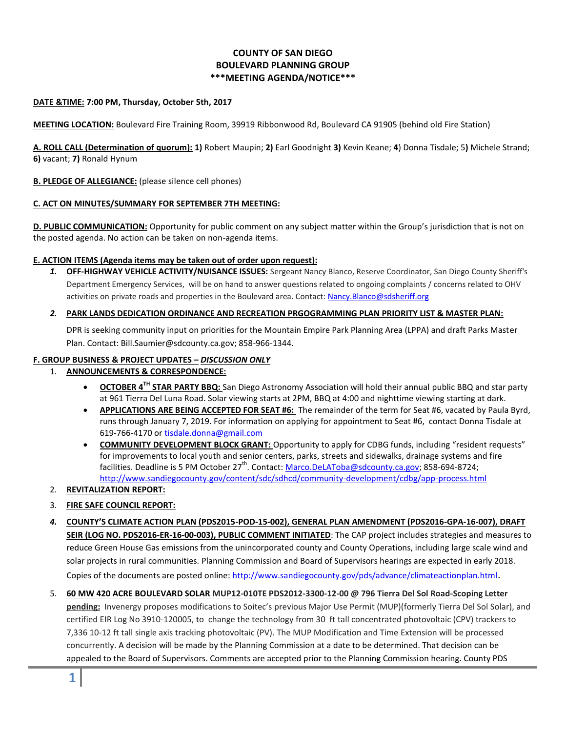# **COUNTY OF SAN DIEGO BOULEVARD PLANNING GROUP \*\*\*MEETING AGENDA/NOTICE\*\*\***

### **DATE &TIME: 7:00 PM, Thursday, October 5th, 2017**

**MEETING LOCATION:** Boulevard Fire Training Room, 39919 Ribbonwood Rd, Boulevard CA 91905 (behind old Fire Station)

**A. ROLL CALL (Determination of quorum): 1)** Robert Maupin; **2)** Earl Goodnight **3)** Kevin Keane; **4**) Donna Tisdale; 5**)** Michele Strand; **6)** vacant; **7)** Ronald Hynum

## **B. PLEDGE OF ALLEGIANCE:** (please silence cell phones)

## **C. ACT ON MINUTES/SUMMARY FOR SEPTEMBER 7TH MEETING:**

**D. PUBLIC COMMUNICATION:** Opportunity for public comment on any subject matter within the Group's jurisdiction that is not on the posted agenda. No action can be taken on non-agenda items.

### **E. ACTION ITEMS (Agenda items may be taken out of order upon request):**

*1.* **OFF-HIGHWAY VEHICLE ACTIVITY/NUISANCE ISSUES:** Sergeant Nancy Blanco, Reserve Coordinator, San Diego County Sheriff's Department Emergency Services, will be on hand to answer questions related to ongoing complaints / concerns related to OHV activities on private roads and properties in the Boulevard area. Contact[: Nancy.Blanco@sdsheriff.org](mailto:Nancy.Blanco@sdsheriff.org)

### *2.* **PARK LANDS DEDICATION ORDINANCE AND RECREATION PRGOGRAMMING PLAN PRIORITY LIST & MASTER PLAN:**

DPR is seeking community input on priorities for the Mountain Empire Park Planning Area (LPPA) and draft Parks Master Plan. Contact: Bill.Saumier@sdcounty.ca.gov; 858-966-1344.

# **F. GROUP BUSINESS & PROJECT UPDATES –** *DISCUSSION ONLY*

### 1. **ANNOUNCEMENTS & CORRESPONDENCE:**

- **OCTOBER 4TH STAR PARTY BBQ:** San Diego Astronomy Association will hold their annual public BBQ and star party at 961 Tierra Del Luna Road. Solar viewing starts at 2PM, BBQ at 4:00 and nighttime viewing starting at dark.
- **APPLICATIONS ARE BEING ACCEPTED FOR SEAT #6:** The remainder of the term for Seat #6, vacated by Paula Byrd, runs through January 7, 2019. For information on applying for appointment to Seat #6, contact Donna Tisdale at 619-766-4170 or [tisdale.donna@gmail.com](mailto:tisdale.donna@gmail.com)
- **COMMUNITY DEVELOPMENT BLOCK GRANT:** Opportunity to apply for CDBG funds, including "resident requests" for improvements to local youth and senior centers, parks, streets and sidewalks, drainage systems and fire facilities. Deadline is 5 PM October 27<sup>th</sup>. Contact: [Marco.DeLAToba@sdcounty.ca.gov;](mailto:Marco.DeLAToba@sdcounty.ca.gov) 858-694-8724; <http://www.sandiegocounty.gov/content/sdc/sdhcd/community-development/cdbg/app-process.html>
- 2. **REVITALIZATION REPORT:**

# 3. **FIRE SAFE COUNCIL REPORT:**

- *4.* **COUNTY'S CLIMATE ACTION PLAN (PDS2015-POD-15-002), GENERAL PLAN AMENDMENT (PDS2016-GPA-16-007), DRAFT SEIR (LOG NO. PDS2016-ER-16-00-003), PUBLIC COMMENT INITIATED**: The CAP project includes strategies and measures to reduce Green House Gas emissions from the unincorporated county and County Operations, including large scale wind and solar projects in rural communities. Planning Commission and Board of Supervisors hearings are expected in early 2018. Copies of the documents are posted online[: http://www.sandiegocounty.gov/pds/advance/climateactionplan.html](http://www.sandiegocounty.gov/pds/advance/climateactionplan.html).
- 5. **60 MW 420 ACRE BOULEVARD SOLAR MUP12-010TE PDS2012-3300-12-00 @ 796 Tierra Del Sol Road-Scoping Letter pending:** Invenergy proposes modifications to Soitec's previous Major Use Permit (MUP)(formerly Tierra Del Sol Solar), and certified EIR Log No 3910-120005, to change the technology from 30 ft tall concentrated photovoltaic (CPV) trackers to 7,336 10-12 ft tall single axis tracking photovoltaic (PV). The MUP Modification and Time Extension will be processed concurrently. A decision will be made by the Planning Commission at a date to be determined. That decision can be appealed to the Board of Supervisors. Comments are accepted prior to the Planning Commission hearing. County PDS